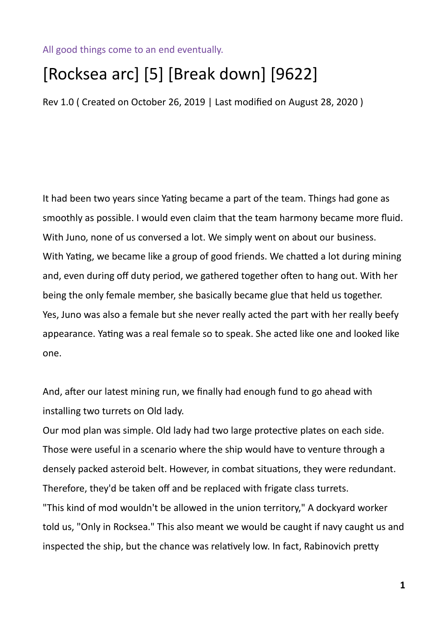## All good things come to an end eventually.

## [Rocksea arc] [5] [Break down] [9622]

Rev 1.0 ( Created on October 26, 2019 | Last modified on August 28, 2020 )

It had been two years since Yating became a part of the team. Things had gone as smoothly as possible. I would even claim that the team harmony became more fluid. With Juno, none of us conversed a lot. We simply went on about our business. With Yating, we became like a group of good friends. We chatted a lot during mining and, even during off duty period, we gathered together often to hang out. With her being the only female member, she basically became glue that held us together. Yes, Juno was also a female but she never really acted the part with her really beefy appearance. Yating was a real female so to speak. She acted like one and looked like one.

And, after our latest mining run, we finally had enough fund to go ahead with installing two turrets on Old lady.

Our mod plan was simple. Old lady had two large protective plates on each side. Those were useful in a scenario where the ship would have to venture through a densely packed asteroid belt. However, in combat situations, they were redundant. Therefore, they'd be taken off and be replaced with frigate class turrets. "This kind of mod wouldn't be allowed in the union territory," A dockyard worker told us, "Only in Rocksea." This also meant we would be caught if navy caught us and inspected the ship, but the chance was relatively low. In fact, Rabinovich pretty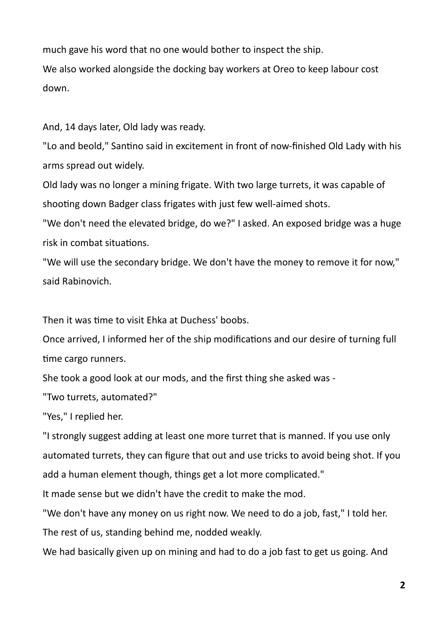much gave his word that no one would bother to inspect the ship.

We also worked alongside the docking bay workers at Oreo to keep labour cost down.

And, 14 days later, Old lady was ready.

"Lo and beold," Santino said in excitement in front of now-finished Old Lady with his arms spread out widely.

Old lady was no longer a mining frigate. With two large turrets, it was capable of shooting down Badger class frigates with just few well-aimed shots.

"We don't need the elevated bridge, do we?" I asked. An exposed bridge was a huge risk in combat situations.

"We will use the secondary bridge. We don't have the money to remove it for now," said Rabinovich.

Then it was time to visit Ehka at Duchess' boobs.

Once arrived, I informed her of the ship modifications and our desire of turning full time cargo runners.

She took a good look at our mods, and the first thing she asked was -

"Two turrets, automated?"

"Yes," I replied her.

"I strongly suggest adding at least one more turret that is manned. If you use only automated turrets, they can figure that out and use tricks to avoid being shot. If you add a human element though, things get a lot more complicated."

It made sense but we didn't have the credit to make the mod.

"We don't have any money on us right now. We need to do a job, fast," I told her. The rest of us, standing behind me, nodded weakly.

We had basically given up on mining and had to do a job fast to get us going. And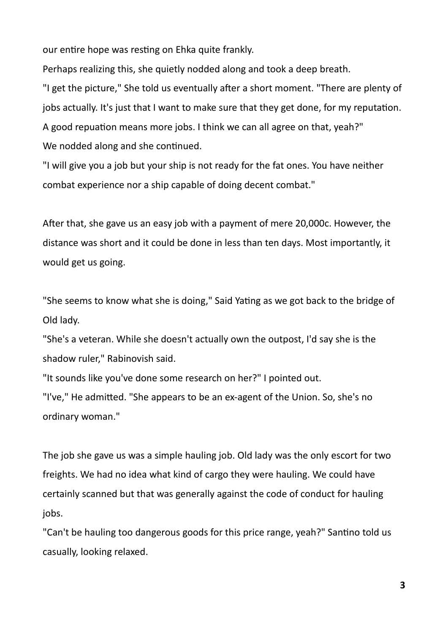our entire hope was resting on Ehka quite frankly.

Perhaps realizing this, she quietly nodded along and took a deep breath. "I get the picture," She told us eventually after a short moment. "There are plenty of jobs actually. It's just that I want to make sure that they get done, for my reputation.

A good repuation means more jobs. I think we can all agree on that, yeah?"

We nodded along and she continued.

"I will give you a job but your ship is not ready for the fat ones. You have neither combat experience nor a ship capable of doing decent combat."

After that, she gave us an easy job with a payment of mere 20,000c. However, the distance was short and it could be done in less than ten days. Most importantly, it would get us going.

"She seems to know what she is doing," Said Yating as we got back to the bridge of Old lady.

"She's a veteran. While she doesn't actually own the outpost, I'd say she is the shadow ruler," Rabinovish said.

"It sounds like you've done some research on her?" I pointed out.

"I've," He admitted. "She appears to be an ex-agent of the Union. So, she's no ordinary woman."

The job she gave us was a simple hauling job. Old lady was the only escort for two freights. We had no idea what kind of cargo they were hauling. We could have certainly scanned but that was generally against the code of conduct for hauling jobs.

"Can't be hauling too dangerous goods for this price range, yeah?" Santino told us casually, looking relaxed.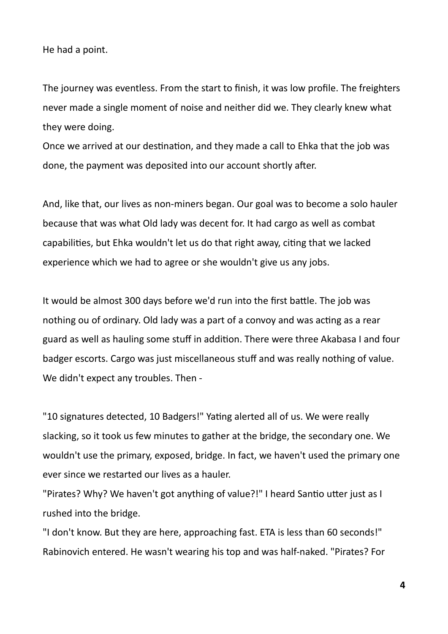He had a point.

The journey was eventless. From the start to finish, it was low profile. The freighters never made a single moment of noise and neither did we. They clearly knew what they were doing.

Once we arrived at our destination, and they made a call to Ehka that the job was done, the payment was deposited into our account shortly after.

And, like that, our lives as non-miners began. Our goal was to become a solo hauler because that was what Old lady was decent for. It had cargo as well as combat capabilities, but Ehka wouldn't let us do that right away, citing that we lacked experience which we had to agree or she wouldn't give us any jobs.

It would be almost 300 days before we'd run into the first battle. The job was nothing ou of ordinary. Old lady was a part of a convoy and was acting as a rear guard as well as hauling some stuff in addition. There were three Akabasa I and four badger escorts. Cargo was just miscellaneous stuff and was really nothing of value. We didn't expect any troubles. Then -

"10 signatures detected, 10 Badgers!" Yating alerted all of us. We were really slacking, so it took us few minutes to gather at the bridge, the secondary one. We wouldn't use the primary, exposed, bridge. In fact, we haven't used the primary one ever since we restarted our lives as a hauler.

"Pirates? Why? We haven't got anything of value?!" I heard Santio utter just as I rushed into the bridge.

"I don't know. But they are here, approaching fast. ETA is less than 60 seconds!" Rabinovich entered. He wasn't wearing his top and was half-naked. "Pirates? For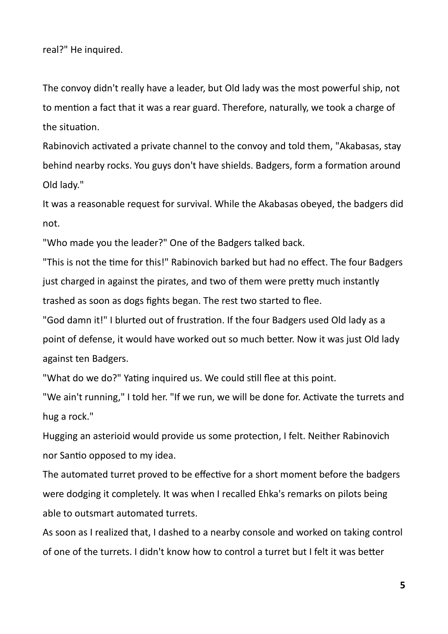real?" He inquired.

The convoy didn't really have a leader, but Old lady was the most powerful ship, not to mention a fact that it was a rear guard. Therefore, naturally, we took a charge of the situation.

Rabinovich activated a private channel to the convoy and told them, "Akabasas, stay behind nearby rocks. You guys don't have shields. Badgers, form a formation around Old lady."

It was a reasonable request for survival. While the Akabasas obeyed, the badgers did not.

"Who made you the leader?" One of the Badgers talked back.

"This is not the time for this!" Rabinovich barked but had no effect. The four Badgers just charged in against the pirates, and two of them were pretty much instantly trashed as soon as dogs fights began. The rest two started to flee.

"God damn it!" I blurted out of frustration. If the four Badgers used Old lady as a point of defense, it would have worked out so much better. Now it was just Old lady against ten Badgers.

"What do we do?" Yating inquired us. We could still flee at this point.

"We ain't running," I told her. "If we run, we will be done for. Activate the turrets and hug a rock."

Hugging an asterioid would provide us some protection, I felt. Neither Rabinovich nor Santio opposed to my idea.

The automated turret proved to be effective for a short moment before the badgers were dodging it completely. It was when I recalled Ehka's remarks on pilots being able to outsmart automated turrets.

As soon as I realized that, I dashed to a nearby console and worked on taking control of one of the turrets. I didn't know how to control a turret but I felt it was better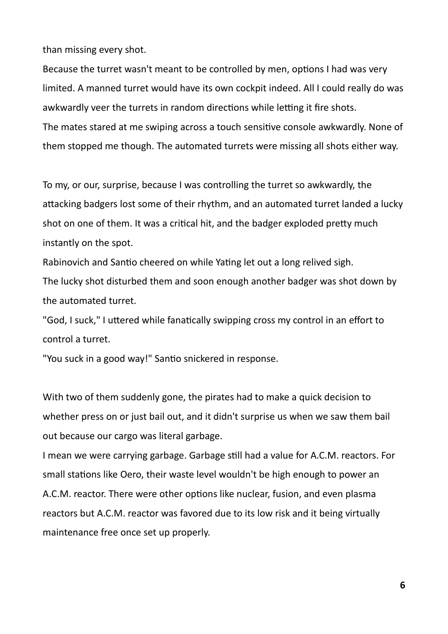than missing every shot.

Because the turret wasn't meant to be controlled by men, options I had was very limited. A manned turret would have its own cockpit indeed. All I could really do was awkwardly veer the turrets in random directions while letting it fire shots. The mates stared at me swiping across a touch sensitive console awkwardly. None of them stopped me though. The automated turrets were missing all shots either way.

To my, or our, surprise, because I was controlling the turret so awkwardly, the attacking badgers lost some of their rhythm, and an automated turret landed a lucky shot on one of them. It was a critical hit, and the badger exploded pretty much instantly on the spot.

Rabinovich and Santio cheered on while Yating let out a long relived sigh. The lucky shot disturbed them and soon enough another badger was shot down by the automated turret.

"God, I suck," I uttered while fanatically swipping cross my control in an effort to control a turret.

"You suck in a good way!" Santio snickered in response.

With two of them suddenly gone, the pirates had to make a quick decision to whether press on or just bail out, and it didn't surprise us when we saw them bail out because our cargo was literal garbage.

I mean we were carrying garbage. Garbage still had a value for A.C.M. reactors. For small stations like Oero, their waste level wouldn't be high enough to power an A.C.M. reactor. There were other options like nuclear, fusion, and even plasma reactors but A.C.M. reactor was favored due to its low risk and it being virtually maintenance free once set up properly.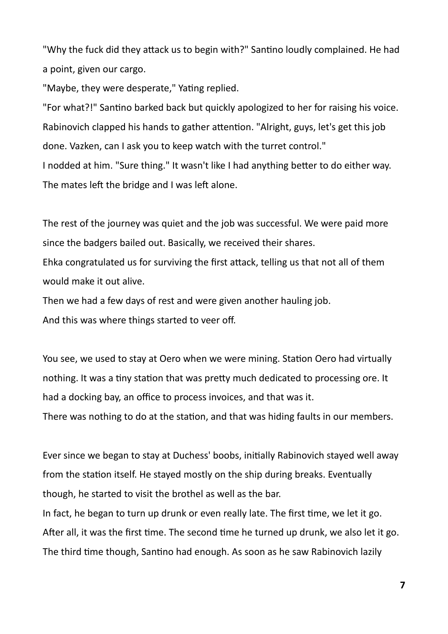"Why the fuck did they attack us to begin with?" Santino loudly complained. He had a point, given our cargo.

"Maybe, they were desperate," Yating replied.

"For what?!" Santino barked back but quickly apologized to her for raising his voice. Rabinovich clapped his hands to gather attention. "Alright, guys, let's get this job done. Vazken, can I ask you to keep watch with the turret control." I nodded at him. "Sure thing." It wasn't like I had anything better to do either way. The mates left the bridge and I was left alone.

The rest of the journey was quiet and the job was successful. We were paid more since the badgers bailed out. Basically, we received their shares.

Ehka congratulated us for surviving the first attack, telling us that not all of them would make it out alive.

Then we had a few days of rest and were given another hauling job. And this was where things started to veer off.

You see, we used to stay at Oero when we were mining. Station Oero had virtually nothing. It was a tiny station that was pretty much dedicated to processing ore. It had a docking bay, an office to process invoices, and that was it.

There was nothing to do at the station, and that was hiding faults in our members.

Ever since we began to stay at Duchess' boobs, initially Rabinovich stayed well away from the station itself. He stayed mostly on the ship during breaks. Eventually though, he started to visit the brothel as well as the bar.

In fact, he began to turn up drunk or even really late. The first time, we let it go. After all, it was the first time. The second time he turned up drunk, we also let it go. The third time though, Santino had enough. As soon as he saw Rabinovich lazily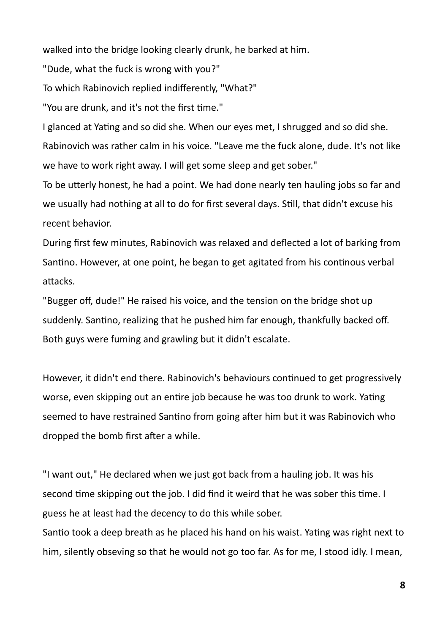walked into the bridge looking clearly drunk, he barked at him.

"Dude, what the fuck is wrong with you?"

To which Rabinovich replied indifferently, "What?"

"You are drunk, and it's not the first time."

I glanced at Yating and so did she. When our eyes met, I shrugged and so did she. Rabinovich was rather calm in his voice. "Leave me the fuck alone, dude. It's not like we have to work right away. I will get some sleep and get sober."

To be utterly honest, he had a point. We had done nearly ten hauling jobs so far and we usually had nothing at all to do for first several days. Still, that didn't excuse his recent behavior.

During first few minutes, Rabinovich was relaxed and deflected a lot of barking from Santino. However, at one point, he began to get agitated from his continous verbal attacks.

"Bugger off, dude!" He raised his voice, and the tension on the bridge shot up suddenly. Santino, realizing that he pushed him far enough, thankfully backed off. Both guys were fuming and grawling but it didn't escalate.

However, it didn't end there. Rabinovich's behaviours continued to get progressively worse, even skipping out an entire job because he was too drunk to work. Yating seemed to have restrained Santino from going after him but it was Rabinovich who dropped the bomb first after a while.

"I want out," He declared when we just got back from a hauling job. It was his second time skipping out the job. I did find it weird that he was sober this time. I guess he at least had the decency to do this while sober.

Santio took a deep breath as he placed his hand on his waist. Yating was right next to him, silently obseving so that he would not go too far. As for me, I stood idly. I mean,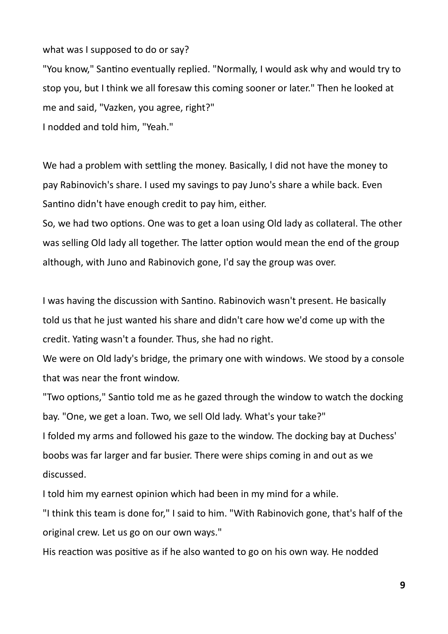what was I supposed to do or say?

"You know," Santino eventually replied. "Normally, I would ask why and would try to stop you, but I think we all foresaw this coming sooner or later." Then he looked at me and said, "Vazken, you agree, right?"

I nodded and told him, "Yeah."

We had a problem with settling the money. Basically, I did not have the money to pay Rabinovich's share. I used my savings to pay Juno's share a while back. Even Santino didn't have enough credit to pay him, either.

So, we had two options. One was to get a loan using Old lady as collateral. The other was selling Old lady all together. The latter option would mean the end of the group although, with Juno and Rabinovich gone, I'd say the group was over.

I was having the discussion with Santino. Rabinovich wasn't present. He basically told us that he just wanted his share and didn't care how we'd come up with the credit. Yating wasn't a founder. Thus, she had no right.

We were on Old lady's bridge, the primary one with windows. We stood by a console that was near the front window.

"Two options," Santio told me as he gazed through the window to watch the docking bay. "One, we get a loan. Two, we sell Old lady. What's your take?"

I folded my arms and followed his gaze to the window. The docking bay at Duchess' boobs was far larger and far busier. There were ships coming in and out as we discussed.

I told him my earnest opinion which had been in my mind for a while.

"I think this team is done for," I said to him. "With Rabinovich gone, that's half of the original crew. Let us go on our own ways."

His reaction was positive as if he also wanted to go on his own way. He nodded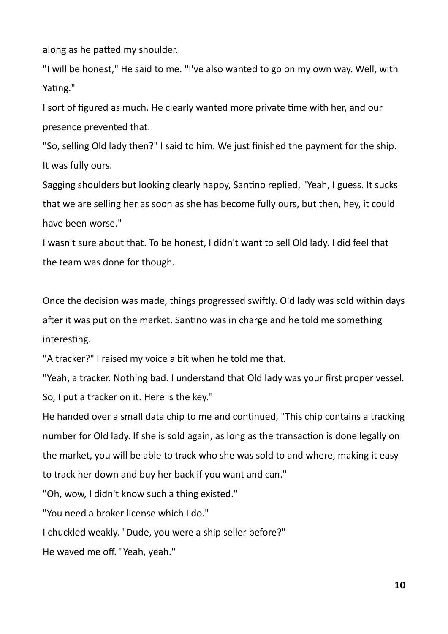along as he patted my shoulder.

"I will be honest," He said to me. "I've also wanted to go on my own way. Well, with Yating."

I sort of figured as much. He clearly wanted more private time with her, and our presence prevented that.

"So, selling Old lady then?" I said to him. We just finished the payment for the ship. It was fully ours.

Sagging shoulders but looking clearly happy, Santino replied, "Yeah, I guess. It sucks that we are selling her as soon as she has become fully ours, but then, hey, it could have been worse."

I wasn't sure about that. To be honest, I didn't want to sell Old lady. I did feel that the team was done for though.

Once the decision was made, things progressed swiftly. Old lady was sold within days after it was put on the market. Santino was in charge and he told me something interesting.

"A tracker?" I raised my voice a bit when he told me that.

"Yeah, a tracker. Nothing bad. I understand that Old lady was your first proper vessel. So, I put a tracker on it. Here is the key."

He handed over a small data chip to me and continued, "This chip contains a tracking number for Old lady. If she is sold again, as long as the transaction is done legally on the market, you will be able to track who she was sold to and where, making it easy to track her down and buy her back if you want and can."

"Oh, wow, I didn't know such a thing existed."

"You need a broker license which I do."

I chuckled weakly. "Dude, you were a ship seller before?"

He waved me off. "Yeah, yeah."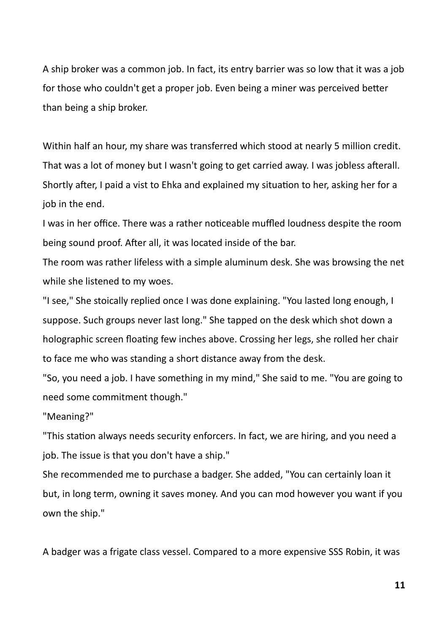A ship broker was a common job. In fact, its entry barrier was so low that it was a job for those who couldn't get a proper job. Even being a miner was perceived better than being a ship broker.

Within half an hour, my share was transferred which stood at nearly 5 million credit. That was a lot of money but I wasn't going to get carried away. I was jobless afterall. Shortly after, I paid a vist to Ehka and explained my situation to her, asking her for a job in the end.

I was in her office. There was a rather noticeable muffled loudness despite the room being sound proof. After all, it was located inside of the bar.

The room was rather lifeless with a simple aluminum desk. She was browsing the net while she listened to my woes.

"I see," She stoically replied once I was done explaining. "You lasted long enough, I suppose. Such groups never last long." She tapped on the desk which shot down a holographic screen floating few inches above. Crossing her legs, she rolled her chair to face me who was standing a short distance away from the desk.

"So, you need a job. I have something in my mind," She said to me. "You are going to need some commitment though."

"Meaning?"

"This station always needs security enforcers. In fact, we are hiring, and you need a job. The issue is that you don't have a ship."

She recommended me to purchase a badger. She added, "You can certainly loan it but, in long term, owning it saves money. And you can mod however you want if you own the ship."

A badger was a frigate class vessel. Compared to a more expensive SSS Robin, it was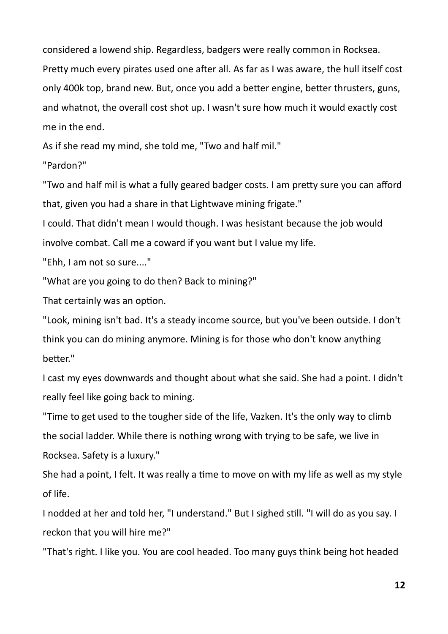considered a lowend ship. Regardless, badgers were really common in Rocksea. Pretty much every pirates used one after all. As far as I was aware, the hull itself cost only 400k top, brand new. But, once you add a better engine, better thrusters, guns, and whatnot, the overall cost shot up. I wasn't sure how much it would exactly cost me in the end.

As if she read my mind, she told me, "Two and half mil."

"Pardon?"

"Two and half mil is what a fully geared badger costs. I am pretty sure you can afford that, given you had a share in that Lightwave mining frigate."

I could. That didn't mean I would though. I was hesistant because the job would involve combat. Call me a coward if you want but I value my life.

"Ehh, I am not so sure...."

"What are you going to do then? Back to mining?"

That certainly was an option.

"Look, mining isn't bad. It's a steady income source, but you've been outside. I don't think you can do mining anymore. Mining is for those who don't know anything better."

I cast my eyes downwards and thought about what she said. She had a point. I didn't really feel like going back to mining.

"Time to get used to the tougher side of the life, Vazken. It's the only way to climb the social ladder. While there is nothing wrong with trying to be safe, we live in Rocksea. Safety is a luxury."

She had a point, I felt. It was really a time to move on with my life as well as my style of life.

I nodded at her and told her, "I understand." But I sighed still. "I will do as you say. I reckon that you will hire me?"

"That's right. I like you. You are cool headed. Too many guys think being hot headed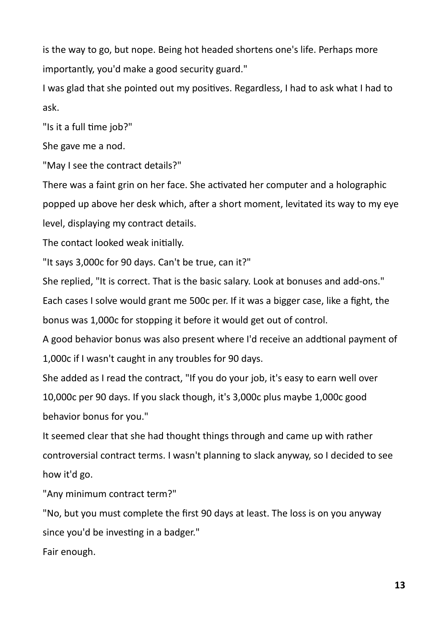is the way to go, but nope. Being hot headed shortens one's life. Perhaps more importantly, you'd make a good security guard."

I was glad that she pointed out my positives. Regardless, I had to ask what I had to ask.

"Is it a full time job?"

She gave me a nod.

"May I see the contract details?"

There was a faint grin on her face. She activated her computer and a holographic popped up above her desk which, after a short moment, levitated its way to my eye level, displaying my contract details.

The contact looked weak initially.

"It says 3,000c for 90 days. Can't be true, can it?"

She replied, "It is correct. That is the basic salary. Look at bonuses and add-ons."

Each cases I solve would grant me 500c per. If it was a bigger case, like a fight, the bonus was 1,000c for stopping it before it would get out of control.

A good behavior bonus was also present where I'd receive an addtional payment of 1,000c if I wasn't caught in any troubles for 90 days.

She added as I read the contract, "If you do your job, it's easy to earn well over

10,000c per 90 days. If you slack though, it's 3,000c plus maybe 1,000c good behavior bonus for you."

It seemed clear that she had thought things through and came up with rather controversial contract terms. I wasn't planning to slack anyway, so I decided to see how it'd go.

"Any minimum contract term?"

"No, but you must complete the first 90 days at least. The loss is on you anyway since you'd be investing in a badger."

Fair enough.